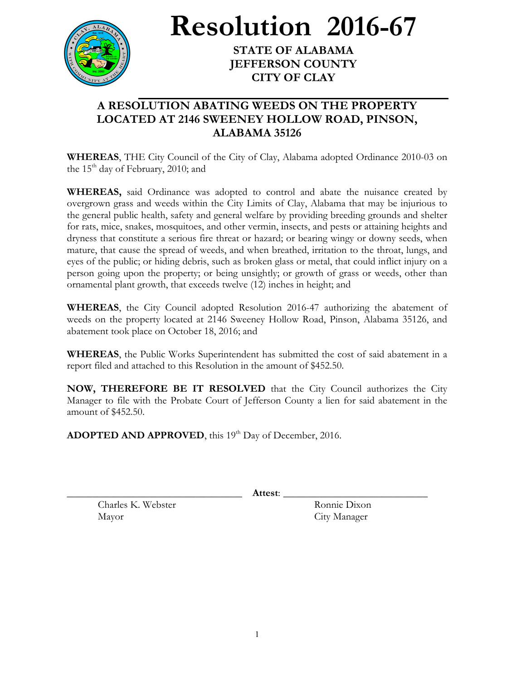

**Resolution 2016-67**

**STATE OF ALABAMA JEFFERSON COUNTY CITY OF CLAY**

## **A RESOLUTION ABATING WEEDS ON THE PROPERTY LOCATED AT 2146 SWEENEY HOLLOW ROAD, PINSON, ALABAMA 35126**

**WHEREAS**, THE City Council of the City of Clay, Alabama adopted Ordinance 2010-03 on the 15<sup>th</sup> day of February, 2010; and

**WHEREAS,** said Ordinance was adopted to control and abate the nuisance created by overgrown grass and weeds within the City Limits of Clay, Alabama that may be injurious to the general public health, safety and general welfare by providing breeding grounds and shelter for rats, mice, snakes, mosquitoes, and other vermin, insects, and pests or attaining heights and dryness that constitute a serious fire threat or hazard; or bearing wingy or downy seeds, when mature, that cause the spread of weeds, and when breathed, irritation to the throat, lungs, and eyes of the public; or hiding debris, such as broken glass or metal, that could inflict injury on a person going upon the property; or being unsightly; or growth of grass or weeds, other than ornamental plant growth, that exceeds twelve (12) inches in height; and

**WHEREAS**, the City Council adopted Resolution 2016-47 authorizing the abatement of weeds on the property located at 2146 Sweeney Hollow Road, Pinson, Alabama 35126, and abatement took place on October 18, 2016; and

**WHEREAS**, the Public Works Superintendent has submitted the cost of said abatement in a report filed and attached to this Resolution in the amount of \$452.50.

**NOW, THEREFORE BE IT RESOLVED** that the City Council authorizes the City Manager to file with the Probate Court of Jefferson County a lien for said abatement in the amount of \$452.50.

ADOPTED AND APPROVED, this 19<sup>th</sup> Day of December, 2016.

\_\_\_\_\_\_\_\_\_\_\_\_\_\_\_\_\_\_\_\_\_\_\_\_\_\_\_\_\_\_\_\_\_\_ **Attest**: \_\_\_\_\_\_\_\_\_\_\_\_\_\_\_\_\_\_\_\_\_\_\_\_\_\_\_\_

Charles K. Webster Ronnie Dixon Mayor City Manager